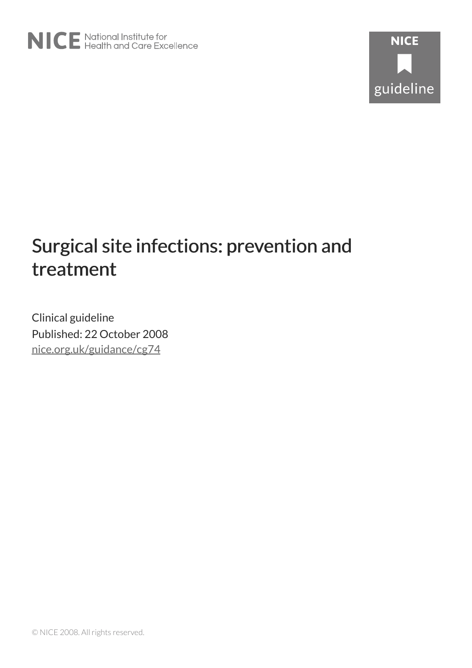# Surgical site infections: prevention and treatment

Clinical guideline Published: 22 October 2008 [nice.org.uk/guidance/cg74](http://nice.org.uk/guidance/cg74)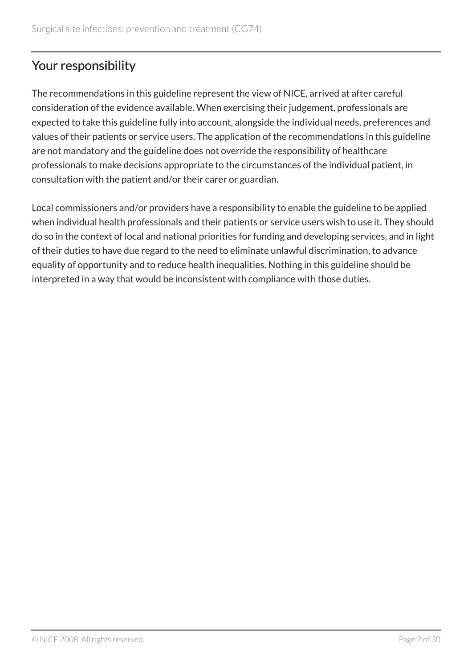# Your responsibility

The recommendations in this guideline represent the view of NICE, arrived at after careful consideration of the evidence available. When exercising their judgement, professionals are expected to take this guideline fully into account, alongside the individual needs, preferences and values of their patients or service users. The application of the recommendations in this guideline are not mandatory and the guideline does not override the responsibility of healthcare professionals to make decisions appropriate to the circumstances of the individual patient, in consultation with the patient and/or their carer or guardian.

Local commissioners and/or providers have a responsibility to enable the guideline to be applied when individual health professionals and their patients or service users wish to use it. They should do so in the context of local and national priorities for funding and developing services, and in light of their duties to have due regard to the need to eliminate unlawful discrimination, to advance equality of opportunity and to reduce health inequalities. Nothing in this guideline should be interpreted in a way that would be inconsistent with compliance with those duties.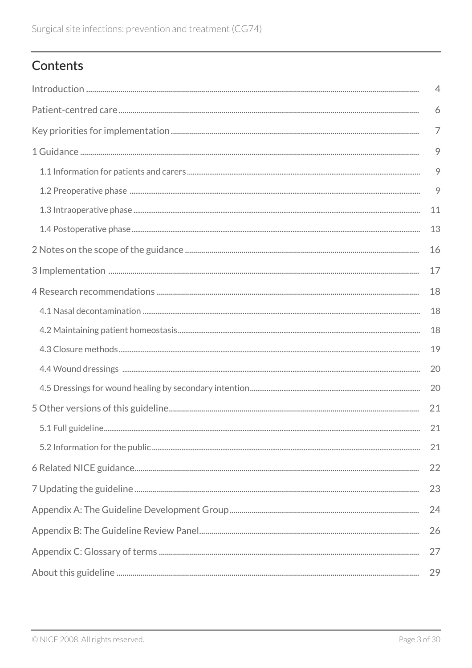# Contents

| $\overline{4}$ |         |  |  |
|----------------|---------|--|--|
| 6              |         |  |  |
|                |         |  |  |
|                |         |  |  |
|                | $\circ$ |  |  |
|                | 9       |  |  |
|                | 11      |  |  |
|                | 13      |  |  |
|                |         |  |  |
|                | 17      |  |  |
|                | 18      |  |  |
|                | 18      |  |  |
|                | 18      |  |  |
|                | 19      |  |  |
|                | 20      |  |  |
|                | 20      |  |  |
|                | 21      |  |  |
|                | 21      |  |  |
|                | 21      |  |  |
|                | 22      |  |  |
|                | 23      |  |  |
| 24             |         |  |  |
| 26             |         |  |  |
| 27             |         |  |  |
| 29             |         |  |  |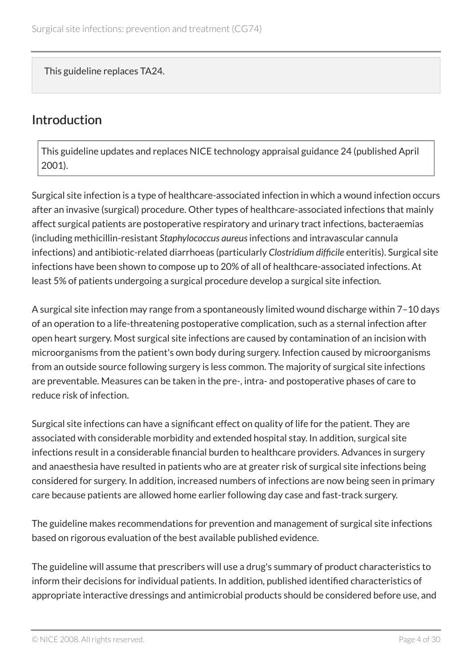This guideline replaces TA24.

### <span id="page-3-0"></span>Introduction

This guideline updates and replaces NICE technology appraisal guidance 24 (published April 2001).

Surgical site infection is a type of healthcare-associated infection in which a wound infection occurs after an invasive (surgical) procedure. Other types of healthcare-associated infections that mainly affect surgical patients are postoperative respiratory and urinary tract infections, bacteraemias (including methicillin-resistant *Staphylococcus aureus*infections and intravascular cannula infections) and antibiotic-related diarrhoeas (particularly *Clostridium difficile* enteritis). Surgical site infections have been shown to compose up to 20% of all of healthcare-associated infections. At least 5% of patients undergoing a surgical procedure develop a surgical site infection.

A surgical site infection may range from a spontaneously limited wound discharge within 7–10 days of an operation to a life-threatening postoperative complication, such as a sternal infection after open heart surgery. Most surgical site infections are caused by contamination of an incision with microorganisms from the patient's own body during surgery. Infection caused by microorganisms from an outside source following surgery is less common. The majority of surgical site infections are preventable. Measures can be taken in the pre-, intra- and postoperative phases of care to reduce risk of infection.

Surgical site infections can have a significant effect on quality of life for the patient. They are associated with considerable morbidity and extended hospital stay. In addition, surgical site infections result in a considerable financial burden to healthcare providers. Advances in surgery and anaesthesia have resulted in patients who are at greater risk of surgical site infections being considered for surgery. In addition, increased numbers of infections are now being seen in primary care because patients are allowed home earlier following day case and fast-track surgery.

The guideline makes recommendations for prevention and management of surgical site infections based on rigorous evaluation of the best available published evidence.

The guideline will assume that prescribers will use a drug's summary of product characteristics to inform their decisions for individual patients. In addition, published identified characteristics of appropriate interactive dressings and antimicrobial products should be considered before use, and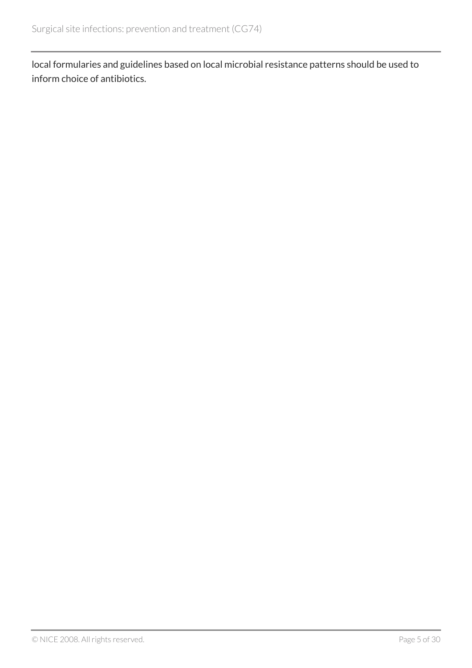local formularies and guidelines based on local microbial resistance patterns should be used to inform choice of antibiotics.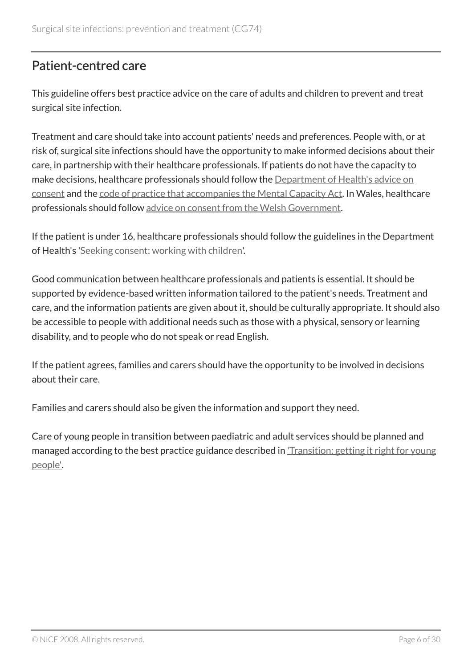### <span id="page-5-0"></span>Patient-centred care

This guideline offers best practice advice on the care of adults and children to prevent and treat surgical site infection.

Treatment and care should take into account patients' needs and preferences. People with, or at risk of, surgical site infections should have the opportunity to make informed decisions about their care, in partnership with their healthcare professionals. If patients do not have the capacity to make decisions, healthcare professionals should follow the [Department of Health's advice on](http://www.dh.gov.uk/en/DH_103643) [consent](http://www.dh.gov.uk/en/DH_103643) and the [code of practice that accompanies the Mental Capacity Act](http://www.justice.gov.uk/protecting-the-vulnerable/mental-capacity-act). In Wales, healthcare professionals should follow [advice on consent from the Welsh Government.](http://www.wales.nhs.uk/consent)

If the patient is under 16, healthcare professionals should follow the guidelines in the Department of Health's '[Seeking consent: working with children](http://www.dh.gov.uk/en/Publicationsandstatistics/Publications/PublicationsPolicyAndGuidance/DH_4007005)'.

Good communication between healthcare professionals and patients is essential. It should be supported by evidence-based written information tailored to the patient's needs. Treatment and care, and the information patients are given about it, should be culturally appropriate. It should also be accessible to people with additional needs such as those with a physical, sensory or learning disability, and to people who do not speak or read English.

If the patient agrees, families and carers should have the opportunity to be involved in decisions about their care.

Families and carers should also be given the information and support they need.

Care of young people in transition between paediatric and adult services should be planned and managed according to the best practice guidance described in ['Transition: getting it right for young](http://www.dh.gov.uk/) [people'.](http://www.dh.gov.uk/)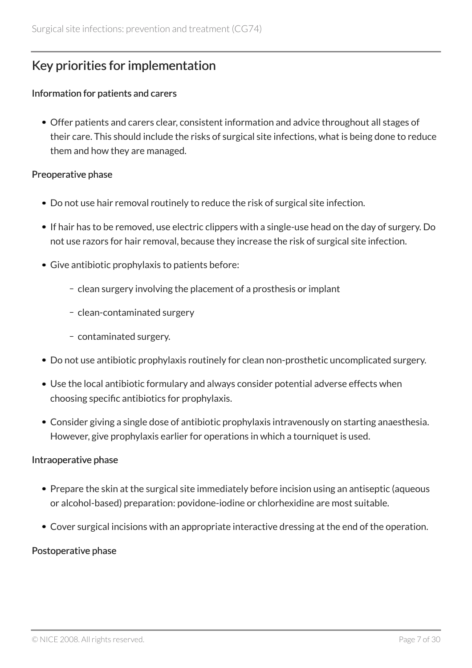# <span id="page-6-0"></span>Key priorities for implementation

#### Information for patients and carers

Offer patients and carers clear, consistent information and advice throughout all stages of their care. This should include the risks of surgical site infections, what is being done to reduce them and how they are managed.

#### Preoperative phase

- Do not use hair removal routinely to reduce the risk of surgical site infection.
- If hair has to be removed, use electric clippers with a single-use head on the day of surgery. Do not use razors for hair removal, because they increase the risk of surgical site infection.
- Give antibiotic prophylaxis to patients before:
	- clean surgery involving the placement of a prosthesis or implant
	- clean-contaminated surgery
	- contaminated surgery.
- Do not use antibiotic prophylaxis routinely for clean non-prosthetic uncomplicated surgery.
- Use the local antibiotic formulary and always consider potential adverse effects when choosing specific antibiotics for prophylaxis.
- Consider giving a single dose of antibiotic prophylaxis intravenously on starting anaesthesia. However, give prophylaxis earlier for operations in which a tourniquet is used.

### Intraoperative phase

- Prepare the skin at the surgical site immediately before incision using an antiseptic (aqueous or alcohol-based) preparation: povidone-iodine or chlorhexidine are most suitable.
- Cover surgical incisions with an appropriate interactive dressing at the end of the operation.

### Postoperative phase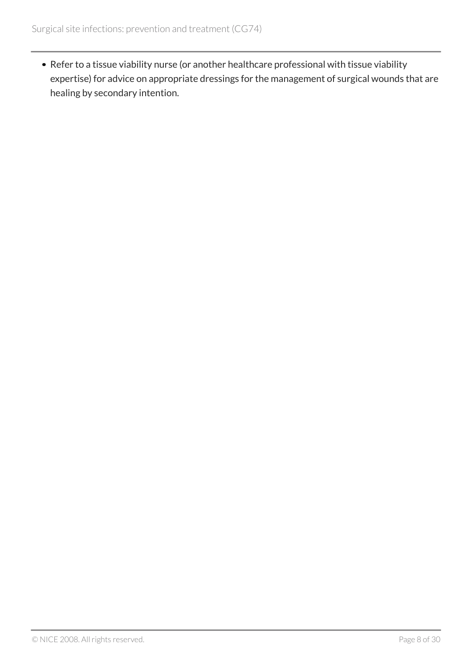Refer to a tissue viability nurse (or another healthcare professional with tissue viability expertise) for advice on appropriate dressings for the management of surgical wounds that are healing by secondary intention.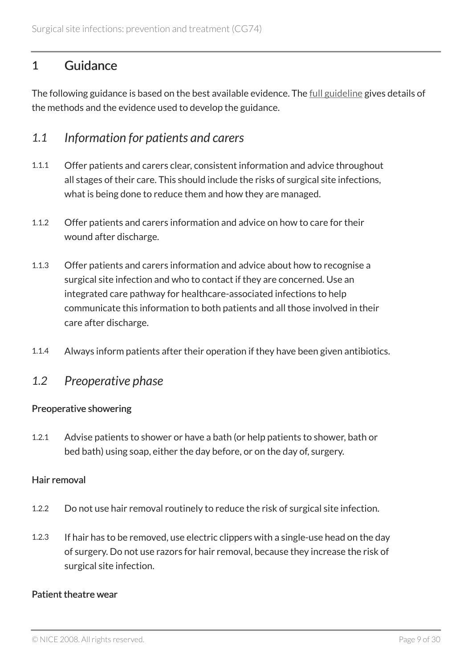### <span id="page-8-0"></span>1 Guidance

The following guidance is based on the best available evidence. The <u>[full guideline](http://www.nice.org.uk/guidance/cg74/evidence)</u> gives details of the methods and the evidence used to develop the guidance.

### <span id="page-8-1"></span>*1.1 Information for patients and carers*

- 1.1.1 Offer patients and carers clear, consistent information and advice throughout all stages of their care. This should include the risks of surgical site infections, what is being done to reduce them and how they are managed.
- 1.1.2 Offer patients and carers information and advice on how to care for their wound after discharge.
- 1.1.3 Offer patients and carers information and advice about how to recognise a surgical site infection and who to contact if they are concerned. Use an integrated care pathway for healthcare-associated infections to help communicate this information to both patients and all those involved in their care after discharge.
- 1.1.4 Always inform patients after their operation if they have been given antibiotics.

### <span id="page-8-2"></span>*1.2 Preoperative phase*

### Preoperative showering

1.2.1 Advise patients to shower or have a bath (or help patients to shower, bath or bed bath) using soap, either the day before, or on the day of, surgery.

### Hair removal

- 1.2.2 Do not use hair removal routinely to reduce the risk of surgical site infection.
- 1.2.3 If hair has to be removed, use electric clippers with a single-use head on the day of surgery. Do not use razors for hair removal, because they increase the risk of surgical site infection.

#### Patient theatre wear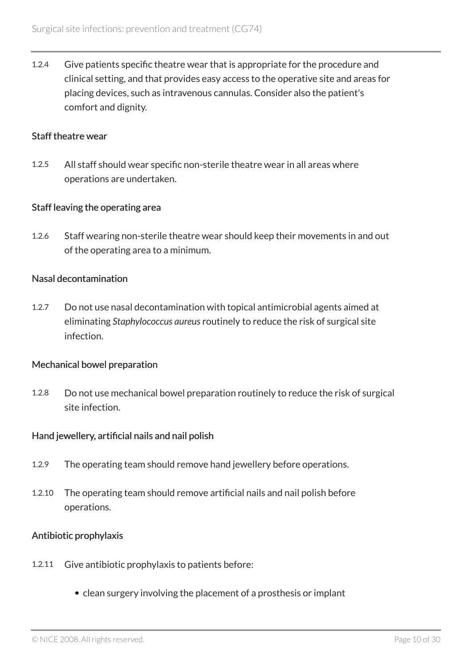1.2.4 Give patients specific theatre wear that is appropriate for the procedure and clinical setting, and that provides easy access to the operative site and areas for placing devices, such as intravenous cannulas. Consider also the patient's comfort and dignity.

#### Staff theatre wear

1.2.5 All staff should wear specific non-sterile theatre wear in all areas where operations are undertaken.

#### Staff leaving the operating area

1.2.6 Staff wearing non-sterile theatre wear should keep their movements in and out of the operating area to a minimum.

#### Nasal decontamination

1.2.7 Do not use nasal decontamination with topical antimicrobial agents aimed at eliminating *Staphylococcus aureus* routinely to reduce the risk of surgical site infection.

#### Mechanical bowel preparation

1.2.8 Do not use mechanical bowel preparation routinely to reduce the risk of surgical site infection.

#### Hand jewellery, artificial nails and nail polish

- 1.2.9 The operating team should remove hand jewellery before operations.
- 1.2.10 The operating team should remove artificial nails and nail polish before operations.

#### Antibiotic prophylaxis

- 1.2.11 Give antibiotic prophylaxis to patients before:
	- clean surgery involving the placement of a prosthesis or implant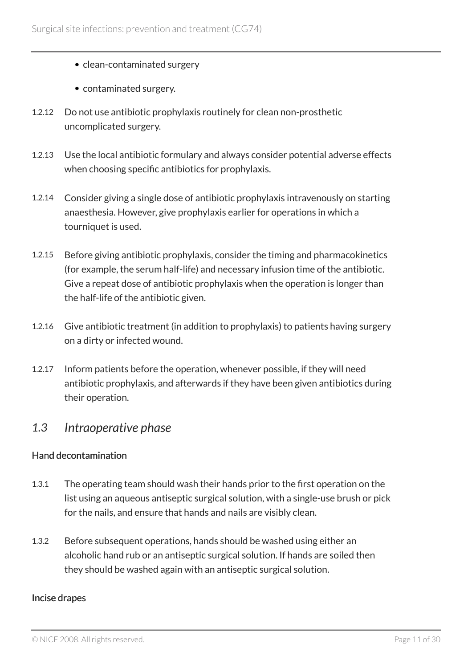- clean-contaminated surgery
- contaminated surgery.
- 1.2.12 Do not use antibiotic prophylaxis routinely for clean non-prosthetic uncomplicated surgery.
- 1.2.13 Use the local antibiotic formulary and always consider potential adverse effects when choosing specific antibiotics for prophylaxis.
- 1.2.14 Consider giving a single dose of antibiotic prophylaxis intravenously on starting anaesthesia. However, give prophylaxis earlier for operations in which a tourniquet is used.
- 1.2.15 Before giving antibiotic prophylaxis, consider the timing and pharmacokinetics (for example, the serum half-life) and necessary infusion time of the antibiotic. Give a repeat dose of antibiotic prophylaxis when the operation is longer than the half-life of the antibiotic given.
- 1.2.16 Give antibiotic treatment (in addition to prophylaxis) to patients having surgery on a dirty or infected wound.
- 1.2.17 Inform patients before the operation, whenever possible, if they will need antibiotic prophylaxis, and afterwards if they have been given antibiotics during their operation.

### <span id="page-10-0"></span>*1.3 Intraoperative phase*

### Hand decontamination

- 1.3.1 The operating team should wash their hands prior to the first operation on the list using an aqueous antiseptic surgical solution, with a single-use brush or pick for the nails, and ensure that hands and nails are visibly clean.
- 1.3.2 Before subsequent operations, hands should be washed using either an alcoholic hand rub or an antiseptic surgical solution. If hands are soiled then they should be washed again with an antiseptic surgical solution.

### Incise drapes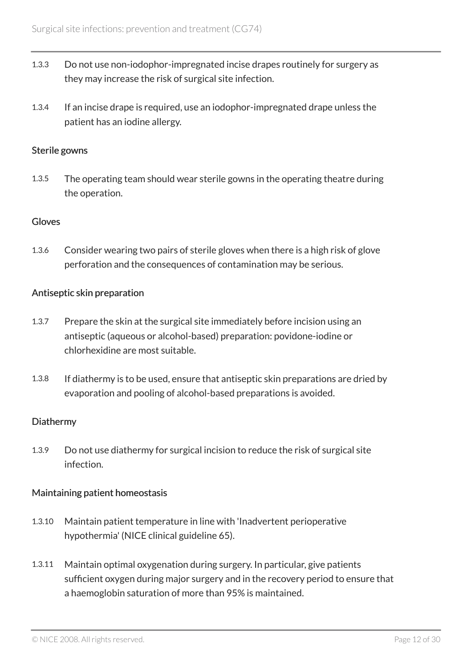- 1.3.3 Do not use non-iodophor-impregnated incise drapes routinely for surgery as they may increase the risk of surgical site infection.
- 1.3.4 If an incise drape is required, use an iodophor-impregnated drape unless the patient has an iodine allergy.

### Sterile gowns

1.3.5 The operating team should wear sterile gowns in the operating theatre during the operation.

### Gloves

1.3.6 Consider wearing two pairs of sterile gloves when there is a high risk of glove perforation and the consequences of contamination may be serious.

### Antiseptic skin preparation

- 1.3.7 Prepare the skin at the surgical site immediately before incision using an antiseptic (aqueous or alcohol-based) preparation: povidone-iodine or chlorhexidine are most suitable.
- 1.3.8 If diathermy is to be used, ensure that antiseptic skin preparations are dried by evaporation and pooling of alcohol-based preparations is avoided.

### **Diathermy**

1.3.9 Do not use diathermy for surgical incision to reduce the risk of surgical site infection.

### Maintaining patient homeostasis

- 1.3.10 Maintain patient temperature in line with 'Inadvertent perioperative hypothermia' (NICE clinical guideline 65).
- 1.3.11 Maintain optimal oxygenation during surgery. In particular, give patients sufficient oxygen during major surgery and in the recovery period to ensure that a haemoglobin saturation of more than 95% is maintained.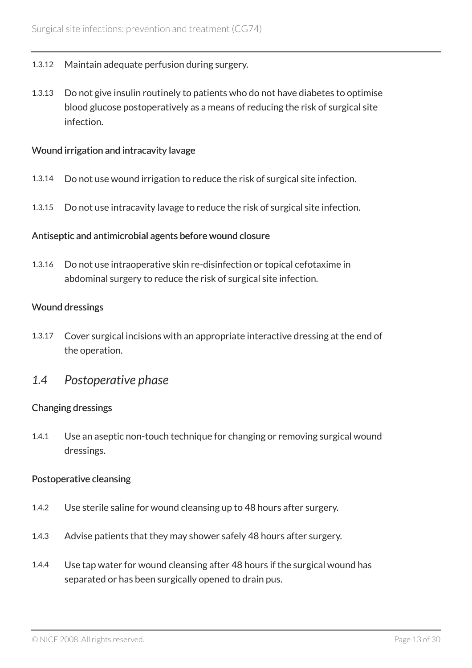- 1.3.12 Maintain adequate perfusion during surgery.
- 1.3.13 Do not give insulin routinely to patients who do not have diabetes to optimise blood glucose postoperatively as a means of reducing the risk of surgical site infection.

#### Wound irrigation and intracavity lavage

- 1.3.14 Do not use wound irrigation to reduce the risk of surgical site infection.
- 1.3.15 Do not use intracavity lavage to reduce the risk of surgical site infection.

#### Antiseptic and antimicrobial agents before wound closure

1.3.16 Do not use intraoperative skin re-disinfection or topical cefotaxime in abdominal surgery to reduce the risk of surgical site infection.

#### Wound dressings

- 1.3.17 Cover surgical incisions with an appropriate interactive dressing at the end of the operation.
- <span id="page-12-0"></span>*1.4 Postoperative phase*

### Changing dressings

1.4.1 Use an aseptic non-touch technique for changing or removing surgical wound dressings.

#### Postoperative cleansing

- 1.4.2 Use sterile saline for wound cleansing up to 48 hours after surgery.
- 1.4.3 Advise patients that they may shower safely 48 hours after surgery.
- 1.4.4 Use tap water for wound cleansing after 48 hours if the surgical wound has separated or has been surgically opened to drain pus.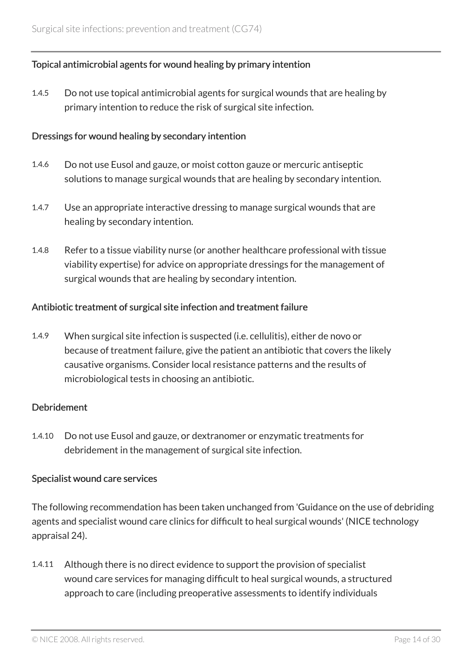### Topical antimicrobial agents for wound healing by primary intention

1.4.5 Do not use topical antimicrobial agents for surgical wounds that are healing by primary intention to reduce the risk of surgical site infection.

#### Dressings for wound healing by secondary intention

- 1.4.6 Do not use Eusol and gauze, or moist cotton gauze or mercuric antiseptic solutions to manage surgical wounds that are healing by secondary intention.
- 1.4.7 Use an appropriate interactive dressing to manage surgical wounds that are healing by secondary intention.
- 1.4.8 Refer to a tissue viability nurse (or another healthcare professional with tissue viability expertise) for advice on appropriate dressings for the management of surgical wounds that are healing by secondary intention.

#### Antibiotic treatment of surgical site infection and treatment failure

1.4.9 When surgical site infection is suspected (i.e. cellulitis), either de novo or because of treatment failure, give the patient an antibiotic that covers the likely causative organisms. Consider local resistance patterns and the results of microbiological tests in choosing an antibiotic.

#### Debridement

1.4.10 Do not use Eusol and gauze, or dextranomer or enzymatic treatments for debridement in the management of surgical site infection.

### Specialist wound care services

The following recommendation has been taken unchanged from 'Guidance on the use of debriding agents and specialist wound care clinics for difficult to heal surgical wounds' (NICE technology appraisal 24).

1.4.11 Although there is no direct evidence to support the provision of specialist wound care services for managing difficult to heal surgical wounds, a structured approach to care (including preoperative assessments to identify individuals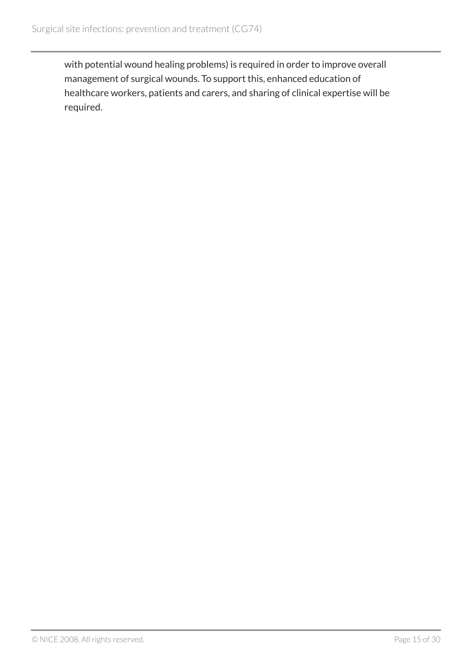with potential wound healing problems) is required in order to improve overall management of surgical wounds. To support this, enhanced education of healthcare workers, patients and carers, and sharing of clinical expertise will be required.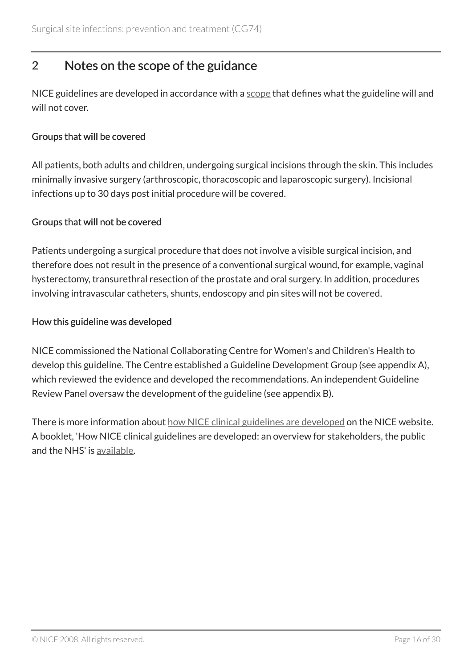# <span id="page-15-0"></span>2 Notes on the scope of the guidance

NICE guidelines are developed in accordance with a [scope](http://www.nice.org.uk/guidance/cg74) that defines what the guideline will and will not cover.

### Groups that will be covered

All patients, both adults and children, undergoing surgical incisions through the skin. This includes minimally invasive surgery (arthroscopic, thoracoscopic and laparoscopic surgery). Incisional infections up to 30 days post initial procedure will be covered.

### Groups that will not be covered

Patients undergoing a surgical procedure that does not involve a visible surgical incision, and therefore does not result in the presence of a conventional surgical wound, for example, vaginal hysterectomy, transurethral resection of the prostate and oral surgery. In addition, procedures involving intravascular catheters, shunts, endoscopy and pin sites will not be covered.

### How this guideline was developed

NICE commissioned the National Collaborating Centre for Women's and Children's Health to develop this guideline. The Centre established a Guideline Development Group (see appendix A), which reviewed the evidence and developed the recommendations. An independent Guideline Review Panel oversaw the development of the guideline (see appendix B).

There is more information about [how NICE clinical guidelines are developed](http://www.nice.org.uk/about/what-we-do/our-programmes/nice-guidance/nice-guidelines) on the NICE website. A booklet, 'How NICE clinical guidelines are developed: an overview for stakeholders, the public and the NHS' is [available](http://www.nice.org.uk/proxy/?sourceUrl=http%3a%2f%2fwww.nice.org.uk%2faboutnice%2fhowwework%2fdevelopingniceclinicalguidelines%2fdeveloping_nice_clinical_guidelines.jsp%3fdomedia%3d1%26mid%3d62F02D9B-19B9-E0B5-D4A26EC9A934FDC7).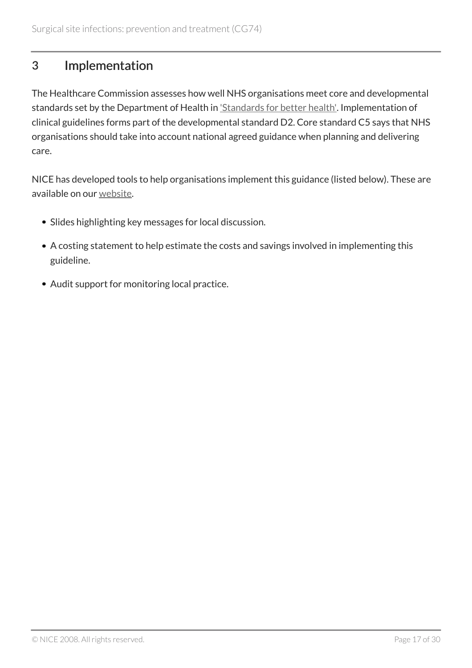# <span id="page-16-0"></span>3 Implementation

The Healthcare Commission assesses how well NHS organisations meet core and developmental standards set by the Department of Health in *Standards for better health'*. Implementation of clinical guidelines forms part of the developmental standard D2. Core standard C5 says that NHS organisations should take into account national agreed guidance when planning and delivering care.

NICE has developed tools to help organisations implement this guidance (listed below). These are available on our [website](http://www.nice.org.uk/guidance/cg74).

- Slides highlighting key messages for local discussion.
- A costing statement to help estimate the costs and savings involved in implementing this guideline.
- Audit support for monitoring local practice.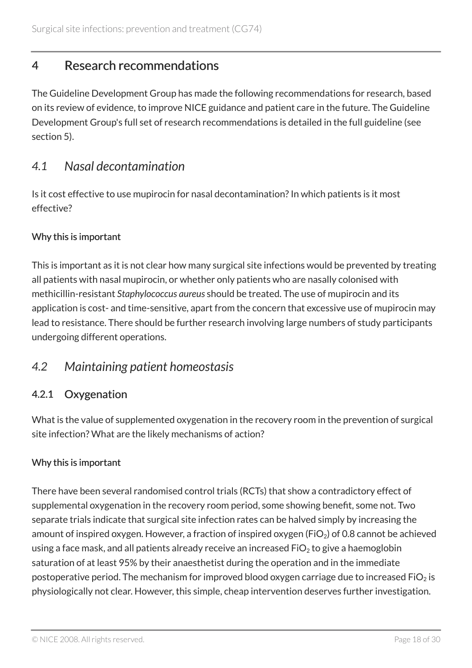# <span id="page-17-0"></span>4 Research recommendations

The Guideline Development Group has made the following recommendations for research, based on its review of evidence, to improve NICE guidance and patient care in the future. The Guideline Development Group's full set of research recommendations is detailed in the full guideline (see section 5).

### <span id="page-17-1"></span>*4.1 Nasal decontamination*

Is it cost effective to use mupirocin for nasal decontamination? In which patients is it most effective?

### Why this is important

This is important as it is not clear how many surgical site infections would be prevented by treating all patients with nasal mupirocin, or whether only patients who are nasally colonised with methicillin-resistant *Staphylococcus aureus* should be treated. The use of mupirocin and its application is cost- and time-sensitive, apart from the concern that excessive use of mupirocin may lead to resistance. There should be further research involving large numbers of study participants undergoing different operations.

### <span id="page-17-2"></span>*4.2 Maintaining patient homeostasis*

### 4.2.1 Oxygenation

What is the value of supplemented oxygenation in the recovery room in the prevention of surgical site infection? What are the likely mechanisms of action?

### Why this is important

There have been several randomised control trials (RCTs) that show a contradictory effect of supplemental oxygenation in the recovery room period, some showing benefit, some not. Two separate trials indicate that surgical site infection rates can be halved simply by increasing the amount of inspired oxygen. However, a fraction of inspired oxygen (FiO<sub>2</sub>) of 0.8 cannot be achieved using a face mask, and all patients already receive an increased  $FiO<sub>2</sub>$  to give a haemoglobin saturation of at least 95% by their anaesthetist during the operation and in the immediate postoperative period. The mechanism for improved blood oxygen carriage due to increased FiO<sub>2</sub> is physiologically not clear. However, this simple, cheap intervention deserves further investigation.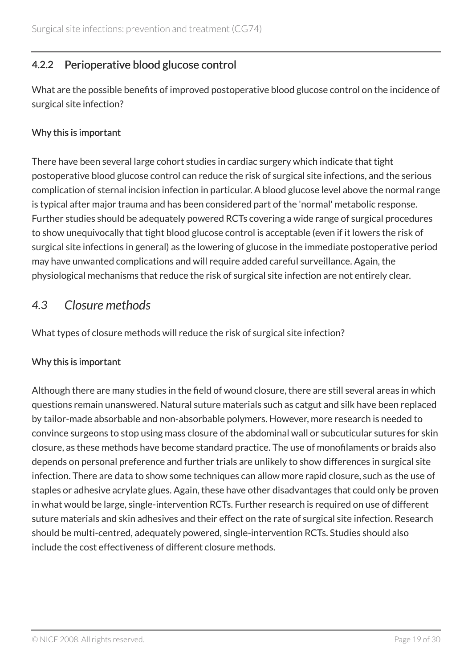### 4.2.2 Perioperative blood glucose control

What are the possible benefits of improved postoperative blood glucose control on the incidence of surgical site infection?

### Why this is important

There have been several large cohort studies in cardiac surgery which indicate that tight postoperative blood glucose control can reduce the risk of surgical site infections, and the serious complication of sternal incision infection in particular. A blood glucose level above the normal range is typical after major trauma and has been considered part of the 'normal' metabolic response. Further studies should be adequately powered RCTs covering a wide range of surgical procedures to show unequivocally that tight blood glucose control is acceptable (even if it lowers the risk of surgical site infections in general) as the lowering of glucose in the immediate postoperative period may have unwanted complications and will require added careful surveillance. Again, the physiological mechanisms that reduce the risk of surgical site infection are not entirely clear.

### <span id="page-18-0"></span>*4.3 Closure methods*

What types of closure methods will reduce the risk of surgical site infection?

### Why this is important

Although there are many studies in the field of wound closure, there are still several areas in which questions remain unanswered. Natural suture materials such as catgut and silk have been replaced by tailor-made absorbable and non-absorbable polymers. However, more research is needed to convince surgeons to stop using mass closure of the abdominal wall or subcuticular sutures for skin closure, as these methods have become standard practice. The use of monofilaments or braids also depends on personal preference and further trials are unlikely to show differences in surgical site infection. There are data to show some techniques can allow more rapid closure, such as the use of staples or adhesive acrylate glues. Again, these have other disadvantages that could only be proven in what would be large, single-intervention RCTs. Further research is required on use of different suture materials and skin adhesives and their effect on the rate of surgical site infection. Research should be multi-centred, adequately powered, single-intervention RCTs. Studies should also include the cost effectiveness of different closure methods.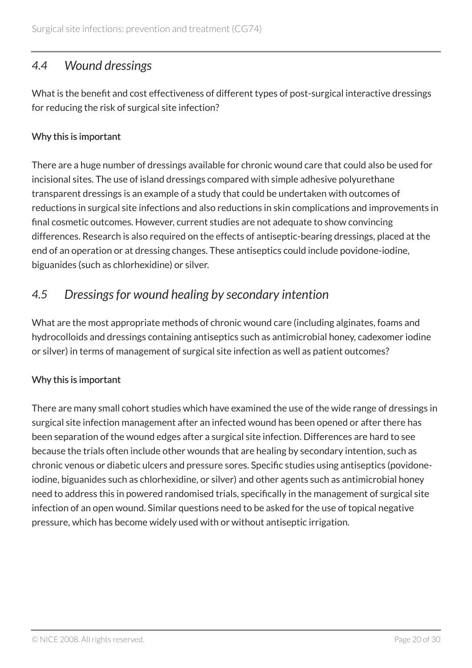### <span id="page-19-0"></span>*4.4 Wound dressings*

What is the benefit and cost effectiveness of different types of post-surgical interactive dressings for reducing the risk of surgical site infection?

### Why this is important

There are a huge number of dressings available for chronic wound care that could also be used for incisional sites. The use of island dressings compared with simple adhesive polyurethane transparent dressings is an example of a study that could be undertaken with outcomes of reductions in surgical site infections and also reductions in skin complications and improvements in final cosmetic outcomes. However, current studies are not adequate to show convincing differences. Research is also required on the effects of antiseptic-bearing dressings, placed at the end of an operation or at dressing changes. These antiseptics could include povidone-iodine, biguanides (such as chlorhexidine) or silver.

### <span id="page-19-1"></span>*4.5 Dressings for wound healing by secondary intention*

What are the most appropriate methods of chronic wound care (including alginates, foams and hydrocolloids and dressings containing antiseptics such as antimicrobial honey, cadexomer iodine or silver) in terms of management of surgical site infection as well as patient outcomes?

### Why this is important

There are many small cohort studies which have examined the use of the wide range of dressings in surgical site infection management after an infected wound has been opened or after there has been separation of the wound edges after a surgical site infection. Differences are hard to see because the trials often include other wounds that are healing by secondary intention, such as chronic venous or diabetic ulcers and pressure sores. Specific studies using antiseptics (povidoneiodine, biguanides such as chlorhexidine, or silver) and other agents such as antimicrobial honey need to address this in powered randomised trials, specifically in the management of surgical site infection of an open wound. Similar questions need to be asked for the use of topical negative pressure, which has become widely used with or without antiseptic irrigation.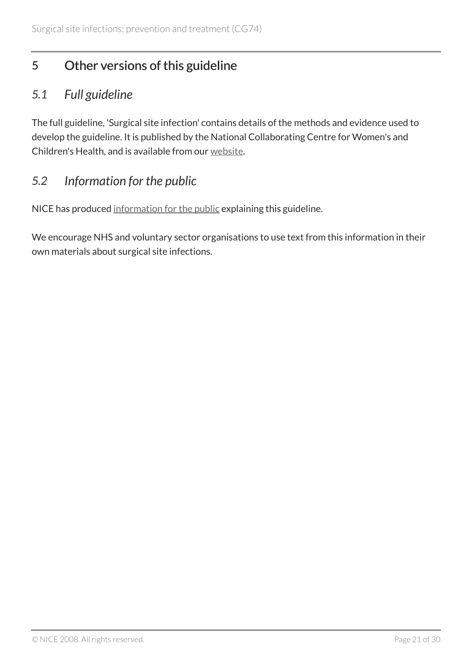# <span id="page-20-0"></span>5 Other versions of this guideline

### <span id="page-20-1"></span>*5.1 Full guideline*

The full guideline, 'Surgical site infection' contains details of the methods and evidence used to develop the guideline. It is published by the National Collaborating Centre for Women's and Children's Health, and is available from our [website](http://www.nice.org.uk/guidance/cg74/evidence).

### <span id="page-20-2"></span>*5.2 Information for the public*

NICE has produced [information for the public](http://www.nice.org.uk/guidance/cg74/informationforpublic) explaining this guideline.

We encourage NHS and voluntary sector organisations to use text from this information in their own materials about surgical site infections.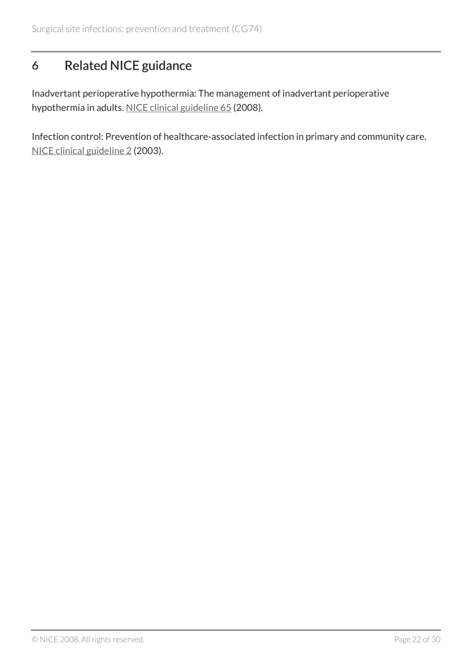# <span id="page-21-0"></span>6 Related NICE guidance

Inadvertant perioperative hypothermia: The management of inadvertant perioperative hypothermia in adults. [NICE clinical guideline 65](http://www.nice.org.uk/guidance/cg65) (2008).

Infection control: Prevention of healthcare-associated infection in primary and community care. [NICE clinical guideline 2](http://www.nice.org.uk/guidance/cg2) (2003).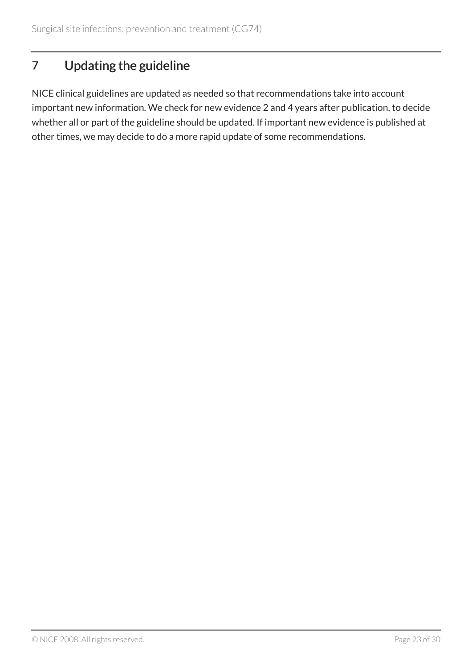# <span id="page-22-0"></span>7 Updating the guideline

NICE clinical guidelines are updated as needed so that recommendations take into account important new information. We check for new evidence 2 and 4 years after publication, to decide whether all or part of the guideline should be updated. If important new evidence is published at other times, we may decide to do a more rapid update of some recommendations.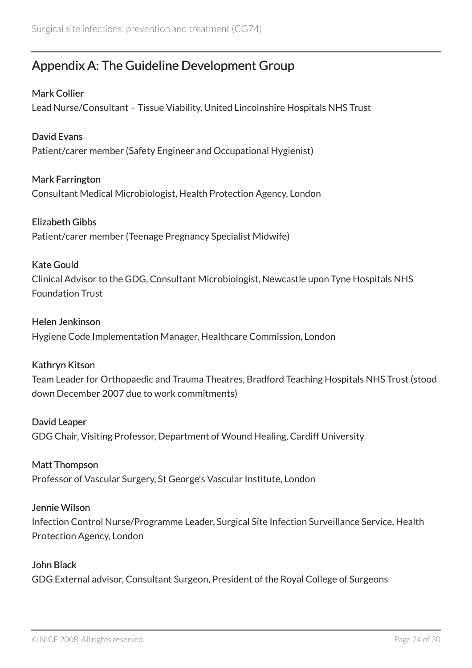# <span id="page-23-0"></span>Appendix A: The Guideline Development Group

### Mark Collier

Lead Nurse/Consultant – Tissue Viability, United Lincolnshire Hospitals NHS Trust

### David Evans

Patient/carer member (Safety Engineer and Occupational Hygienist)

### Mark Farrington

Consultant Medical Microbiologist, Health Protection Agency, London

### Elizabeth Gibbs

Patient/carer member (Teenage Pregnancy Specialist Midwife)

### Kate Gould

Clinical Advisor to the GDG, Consultant Microbiologist, Newcastle upon Tyne Hospitals NHS Foundation Trust

### Helen Jenkinson

Hygiene Code Implementation Manager, Healthcare Commission, London

### Kathryn Kitson

Team Leader for Orthopaedic and Trauma Theatres, Bradford Teaching Hospitals NHS Trust (stood down December 2007 due to work commitments)

### David Leaper

GDG Chair, Visiting Professor, Department of Wound Healing, Cardiff University

### Matt Thompson

Professor of Vascular Surgery, St George's Vascular Institute, London

### Jennie Wilson

Infection Control Nurse/Programme Leader, Surgical Site Infection Surveillance Service, Health Protection Agency, London

### John Black

GDG External advisor, Consultant Surgeon, President of the Royal College of Surgeons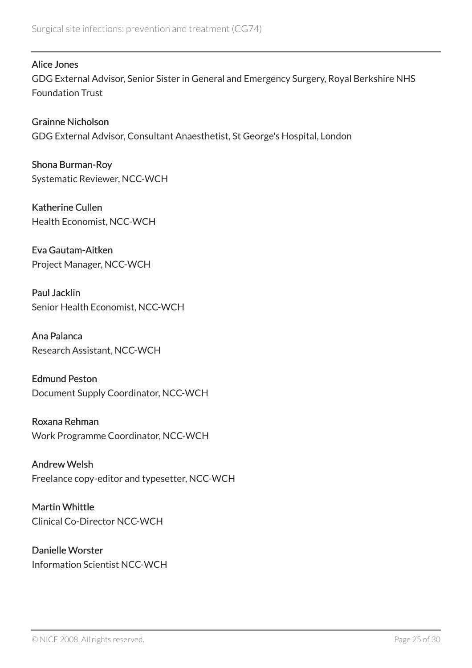Alice Jones

GDG External Advisor, Senior Sister in General and Emergency Surgery, Royal Berkshire NHS Foundation Trust

Grainne Nicholson GDG External Advisor, Consultant Anaesthetist, St George's Hospital, London

Shona Burman-Roy Systematic Reviewer, NCC-WCH

Katherine Cullen Health Economist, NCC-WCH

Eva Gautam-Aitken Project Manager, NCC-WCH

Paul Jacklin Senior Health Economist, NCC-WCH

Ana Palanca Research Assistant, NCC-WCH

Edmund Peston Document Supply Coordinator, NCC-WCH

Roxana Rehman Work Programme Coordinator, NCC-WCH

Andrew Welsh Freelance copy-editor and typesetter, NCC-WCH

Martin Whittle Clinical Co-Director NCC-WCH

Danielle Worster Information Scientist NCC-WCH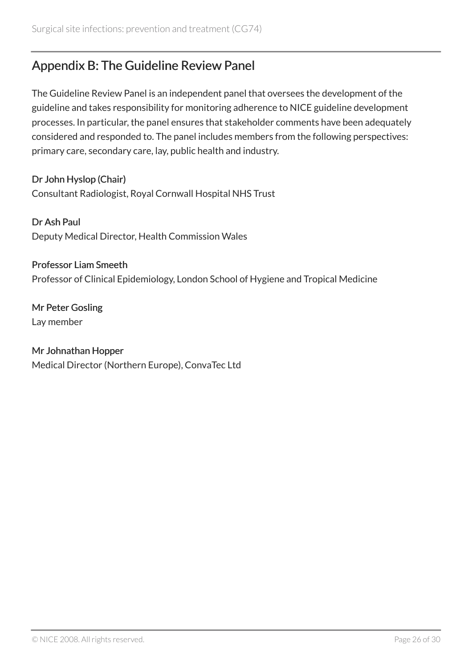# <span id="page-25-0"></span>Appendix B: The Guideline Review Panel

The Guideline Review Panel is an independent panel that oversees the development of the guideline and takes responsibility for monitoring adherence to NICE guideline development processes. In particular, the panel ensures that stakeholder comments have been adequately considered and responded to. The panel includes members from the following perspectives: primary care, secondary care, lay, public health and industry.

Dr John Hyslop (Chair) Consultant Radiologist, Royal Cornwall Hospital NHS Trust

Dr Ash Paul Deputy Medical Director, Health Commission Wales

Professor Liam Smeeth Professor of Clinical Epidemiology, London School of Hygiene and Tropical Medicine

Mr Peter Gosling Lay member

### Mr Johnathan Hopper

Medical Director (Northern Europe), ConvaTec Ltd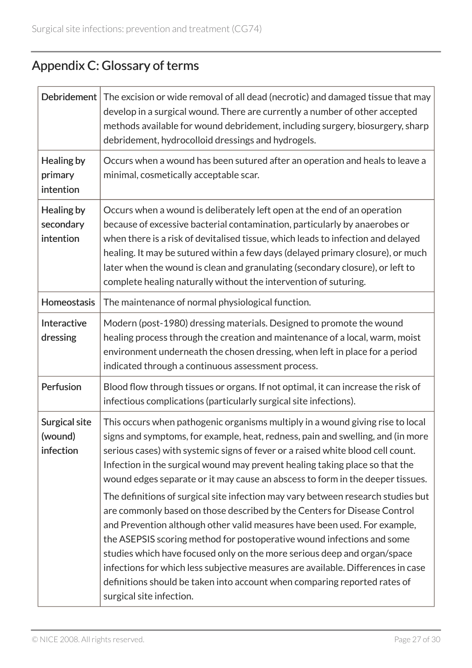# <span id="page-26-0"></span>Appendix C: Glossary of terms

| Debridement                           | The excision or wide removal of all dead (necrotic) and damaged tissue that may<br>develop in a surgical wound. There are currently a number of other accepted<br>methods available for wound debridement, including surgery, biosurgery, sharp<br>debridement, hydrocolloid dressings and hydrogels.                                                                                                                                                                                                                                                                                                                                                                                                                                                                                                                                                                                                                                                                                                                  |
|---------------------------------------|------------------------------------------------------------------------------------------------------------------------------------------------------------------------------------------------------------------------------------------------------------------------------------------------------------------------------------------------------------------------------------------------------------------------------------------------------------------------------------------------------------------------------------------------------------------------------------------------------------------------------------------------------------------------------------------------------------------------------------------------------------------------------------------------------------------------------------------------------------------------------------------------------------------------------------------------------------------------------------------------------------------------|
| Healing by<br>primary<br>intention    | Occurs when a wound has been sutured after an operation and heals to leave a<br>minimal, cosmetically acceptable scar.                                                                                                                                                                                                                                                                                                                                                                                                                                                                                                                                                                                                                                                                                                                                                                                                                                                                                                 |
| Healing by<br>secondary<br>intention  | Occurs when a wound is deliberately left open at the end of an operation<br>because of excessive bacterial contamination, particularly by anaerobes or<br>when there is a risk of devitalised tissue, which leads to infection and delayed<br>healing. It may be sutured within a few days (delayed primary closure), or much<br>later when the wound is clean and granulating (secondary closure), or left to<br>complete healing naturally without the intervention of suturing.                                                                                                                                                                                                                                                                                                                                                                                                                                                                                                                                     |
| Homeostasis                           | The maintenance of normal physiological function.                                                                                                                                                                                                                                                                                                                                                                                                                                                                                                                                                                                                                                                                                                                                                                                                                                                                                                                                                                      |
| Interactive<br>dressing               | Modern (post-1980) dressing materials. Designed to promote the wound<br>healing process through the creation and maintenance of a local, warm, moist<br>environment underneath the chosen dressing, when left in place for a period<br>indicated through a continuous assessment process.                                                                                                                                                                                                                                                                                                                                                                                                                                                                                                                                                                                                                                                                                                                              |
| Perfusion                             | Blood flow through tissues or organs. If not optimal, it can increase the risk of<br>infectious complications (particularly surgical site infections).                                                                                                                                                                                                                                                                                                                                                                                                                                                                                                                                                                                                                                                                                                                                                                                                                                                                 |
| Surgical site<br>(wound)<br>infection | This occurs when pathogenic organisms multiply in a wound giving rise to local<br>signs and symptoms, for example, heat, redness, pain and swelling, and (in more<br>serious cases) with systemic signs of fever or a raised white blood cell count.<br>Infection in the surgical wound may prevent healing taking place so that the<br>wound edges separate or it may cause an abscess to form in the deeper tissues.<br>The definitions of surgical site infection may vary between research studies but<br>are commonly based on those described by the Centers for Disease Control<br>and Prevention although other valid measures have been used. For example,<br>the ASEPSIS scoring method for postoperative wound infections and some<br>studies which have focused only on the more serious deep and organ/space<br>infections for which less subjective measures are available. Differences in case<br>definitions should be taken into account when comparing reported rates of<br>surgical site infection. |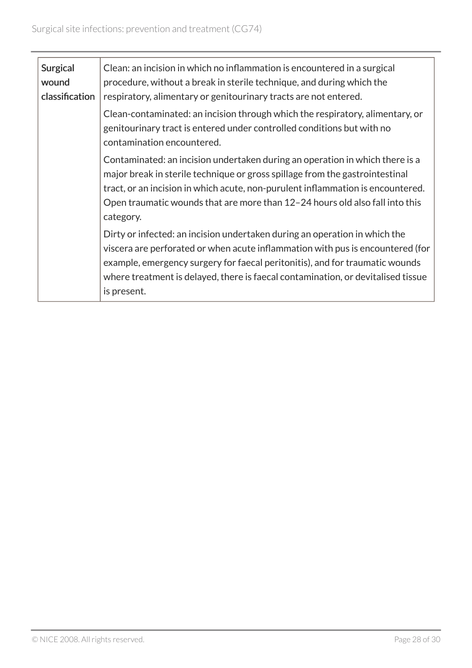| <b>Surgical</b><br>wound<br>classification | Clean: an incision in which no inflammation is encountered in a surgical<br>procedure, without a break in sterile technique, and during which the<br>respiratory, alimentary or genitourinary tracts are not entered.                                                                                                                           |
|--------------------------------------------|-------------------------------------------------------------------------------------------------------------------------------------------------------------------------------------------------------------------------------------------------------------------------------------------------------------------------------------------------|
|                                            | Clean-contaminated: an incision through which the respiratory, alimentary, or<br>genitourinary tract is entered under controlled conditions but with no<br>contamination encountered.                                                                                                                                                           |
|                                            | Contaminated: an incision undertaken during an operation in which there is a<br>major break in sterile technique or gross spillage from the gastrointestinal<br>tract, or an incision in which acute, non-purulent inflammation is encountered.<br>Open traumatic wounds that are more than 12-24 hours old also fall into this<br>category.    |
|                                            | Dirty or infected: an incision undertaken during an operation in which the<br>viscera are perforated or when acute inflammation with pus is encountered (for<br>example, emergency surgery for faecal peritonitis), and for traumatic wounds<br>where treatment is delayed, there is faecal contamination, or devitalised tissue<br>is present. |
|                                            |                                                                                                                                                                                                                                                                                                                                                 |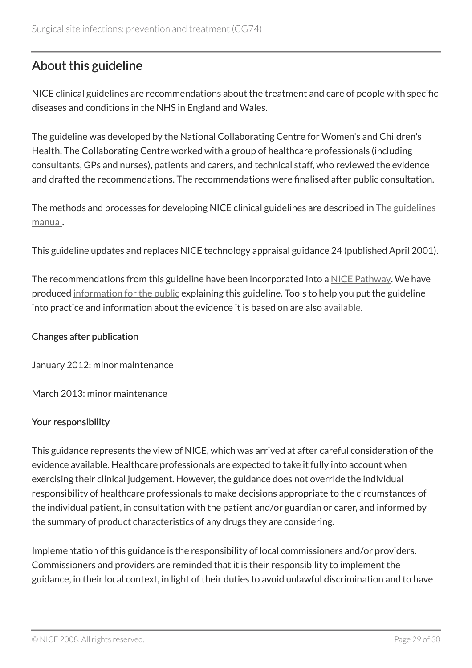# <span id="page-28-0"></span>About this guideline

NICE clinical guidelines are recommendations about the treatment and care of people with specific diseases and conditions in the NHS in England and Wales.

The guideline was developed by the National Collaborating Centre for Women's and Children's Health. The Collaborating Centre worked with a group of healthcare professionals (including consultants, GPs and nurses), patients and carers, and technical staff, who reviewed the evidence and drafted the recommendations. The recommendations were finalised after public consultation.

The methods and processes for developing NICE clinical guidelines are described in [The guidelines](http://www.nice.org.uk/about/what-we-do/our-programmes/nice-guidance/nice-guidelines/nice-clinical-guidelines) [manual](http://www.nice.org.uk/about/what-we-do/our-programmes/nice-guidance/nice-guidelines/nice-clinical-guidelines).

This guideline updates and replaces NICE technology appraisal guidance 24 (published April 2001).

The recommendations from this guideline have been incorporated into a [NICE Pathway.](http://pathways.nice.org.uk/pathways/prevention-and-control-of-healthcare-associated-infections) We have produced [information for the public](http://www.nice.org.uk/guidance/cg74/informationforpublic) explaining this guideline. Tools to help you put the guideline into practice and information about the evidence it is based on are also [available.](http://www.nice.org.uk/guidance/cg74)

### Changes after publication

January 2012: minor maintenance

March 2013: minor maintenance

### Your responsibility

This guidance represents the view of NICE, which was arrived at after careful consideration of the evidence available. Healthcare professionals are expected to take it fully into account when exercising their clinical judgement. However, the guidance does not override the individual responsibility of healthcare professionals to make decisions appropriate to the circumstances of the individual patient, in consultation with the patient and/or guardian or carer, and informed by the summary of product characteristics of any drugs they are considering.

Implementation of this guidance is the responsibility of local commissioners and/or providers. Commissioners and providers are reminded that it is their responsibility to implement the guidance, in their local context, in light of their duties to avoid unlawful discrimination and to have